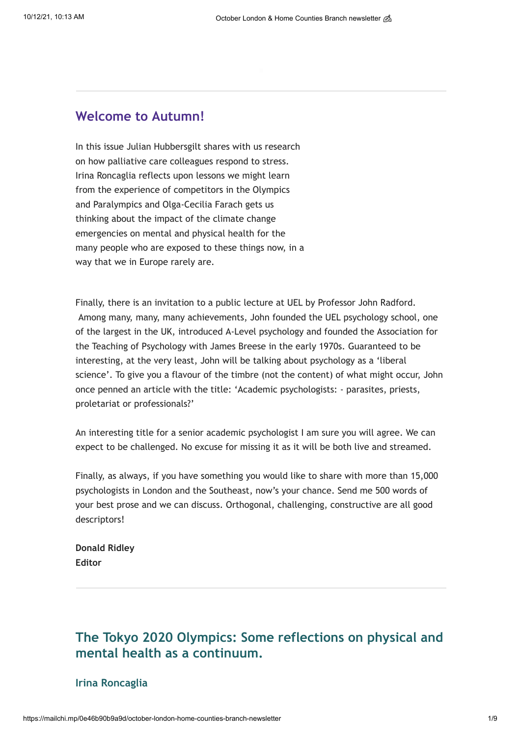## **Welcome to Autumn!**

In this issue Julian Hubbersgilt shares with us research on how palliative care colleagues respond to stress. Irina Roncaglia reflects upon lessons we might learn from the experience of competitors in the Olympics and Paralympics and Olga-Cecilia Farach gets us thinking about the impact of the climate change emergencies on mental and physical health for the many people who are exposed to these things now, in a way that we in Europe rarely are.

Finally, there is an invitation to a public lecture at UEL by Professor John Radford. Among many, many, many achievements, John founded the UEL psychology school, one of the largest in the UK, introduced A-Level psychology and founded the Association for the Teaching of Psychology with James Breese in the early 1970s. Guaranteed to be interesting, at the very least, John will be talking about psychology as a 'liberal science'. To give you a flavour of the timbre (not the content) of what might occur, John once penned an article with the title: 'Academic psychologists: - parasites, priests, proletariat or professionals?'

An interesting title for a senior academic psychologist I am sure you will agree. We can expect to be challenged. No excuse for missing it as it will be both live and streamed.

Finally, as always, if you have something you would like to share with more than 15,000 psychologists in London and the Southeast, now's your chance. Send me 500 words of your best prose and we can discuss. Orthogonal, challenging, constructive are all good descriptors!

**Donald Ridley Editor**

# **The Tokyo 2020 Olympics: Some reflections on physical and mental health as a continuum.**

## **Irina Roncaglia**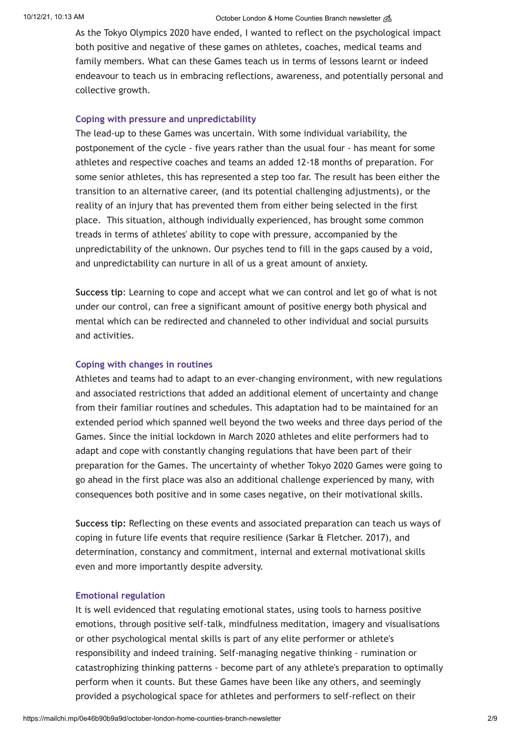#### 10/12/21, 10:13 AM Correction of Correction Counties Branch newsletter and October London & Home Counties Branch newsletter and

As the Tokyo Olympics 2020 have ended, I wanted to reflect on the psychological impact both positive and negative of these games on athletes, coaches, medical teams and family members. What can these Games teach us in terms of lessons learnt or indeed endeavour to teach us in embracing reflections, awareness, and potentially personal and collective growth.

#### **Coping with pressure and unpredictability**

The lead-up to these Games was uncertain. With some individual variability, the postponement of the cycle - five years rather than the usual four - has meant for some athletes and respective coaches and teams an added 12-18 months of preparation. For some senior athletes, this has represented a step too far. The result has been either the transition to an alternative career, (and its potential challenging adjustments), or the reality of an injury that has prevented them from either being selected in the first place. This situation, although individually experienced, has brought some common treads in terms of athletes' ability to cope with pressure, accompanied by the unpredictability of the unknown. Our psyches tend to fill in the gaps caused by a void, and unpredictability can nurture in all of us a great amount of anxiety.

**Success tip**: Learning to cope and accept what we can control and let go of what is not under our control, can free a significant amount of positive energy both physical and mental which can be redirected and channeled to other individual and social pursuits and activities.

### **Coping with changes in routines**

Athletes and teams had to adapt to an ever-changing environment, with new regulations and associated restrictions that added an additional element of uncertainty and change from their familiar routines and schedules. This adaptation had to be maintained for an extended period which spanned well beyond the two weeks and three days period of the Games. Since the initial lockdown in March 2020 athletes and elite performers had to adapt and cope with constantly changing regulations that have been part of their preparation for the Games. The uncertainty of whether Tokyo 2020 Games were going to go ahead in the first place was also an additional challenge experienced by many, with consequences both positive and in some cases negative, on their motivational skills.

**Success tip:** Reflecting on these events and associated preparation can teach us ways of coping in future life events that require resilience (Sarkar & Fletcher. 2017), and determination, constancy and commitment, internal and external motivational skills even and more importantly despite adversity.

#### **Emotional regulation**

It is well evidenced that regulating emotional states, using tools to harness positive emotions, through positive self-talk, mindfulness meditation, imagery and visualisations or other psychological mental skills is part of any elite performer or athlete's responsibility and indeed training. Self-managing negative thinking - rumination or catastrophizing thinking patterns - become part of any athlete's preparation to optimally perform when it counts. But these Games have been like any others, and seemingly provided a psychological space for athletes and performers to self-reflect on their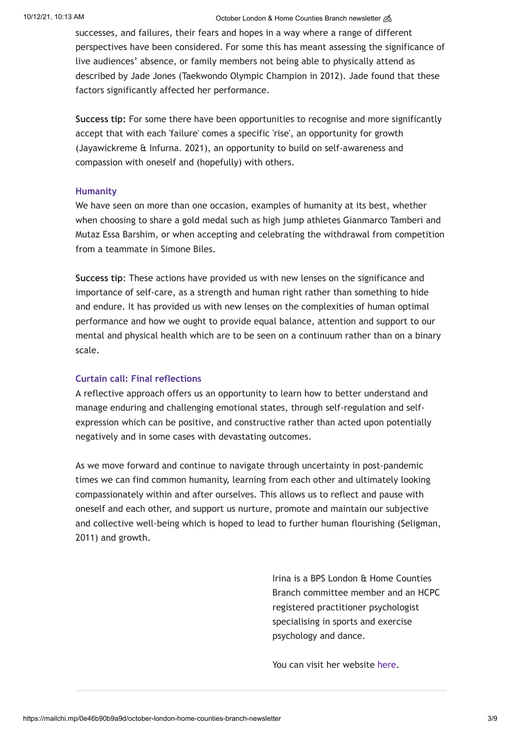#### 10/12/21, 10:13 AM Correction of Correction Counties Branch newsletter and October London & Home Counties Branch newsletter and

successes, and failures, their fears and hopes in a way where a range of different perspectives have been considered. For some this has meant assessing the significance of live audiences' absence, or family members not being able to physically attend as described by Jade Jones (Taekwondo Olympic Champion in 2012). Jade found that these factors significantly affected her performance.

**Success tip:** For some there have been opportunities to recognise and more significantly accept that with each 'failure' comes a specific 'rise', an opportunity for growth (Jayawickreme & Infurna. 2021), an opportunity to build on self-awareness and compassion with oneself and (hopefully) with others.

#### **Humanity**

We have seen on more than one occasion, examples of humanity at its best, whether when choosing to share a gold medal such as high jump athletes Gianmarco Tamberi and Mutaz Essa Barshim, or when accepting and celebrating the withdrawal from competition from a teammate in Simone Biles.

**Success tip**: These actions have provided us with new lenses on the significance and importance of self-care, as a strength and human right rather than something to hide and endure. It has provided us with new lenses on the complexities of human optimal performance and how we ought to provide equal balance, attention and support to our mental and physical health which are to be seen on a continuum rather than on a binary scale.

### **Curtain call: Final reflections**

A reflective approach offers us an opportunity to learn how to better understand and manage enduring and challenging emotional states, through self-regulation and selfexpression which can be positive, and constructive rather than acted upon potentially negatively and in some cases with devastating outcomes.

As we move forward and continue to navigate through uncertainty in post-pandemic times we can find common humanity, learning from each other and ultimately looking compassionately within and after ourselves. This allows us to reflect and pause with oneself and each other, and support us nurture, promote and maintain our subjective and collective well-being which is hoped to lead to further human flourishing (Seligman, 2011) and growth.

> Irina is a BPS London & Home Counties Branch committee member and an HCPC registered practitioner psychologist specialising in sports and exercise psychology and dance.

You can visit her website [here.](https://www.roncaglia.co.uk/)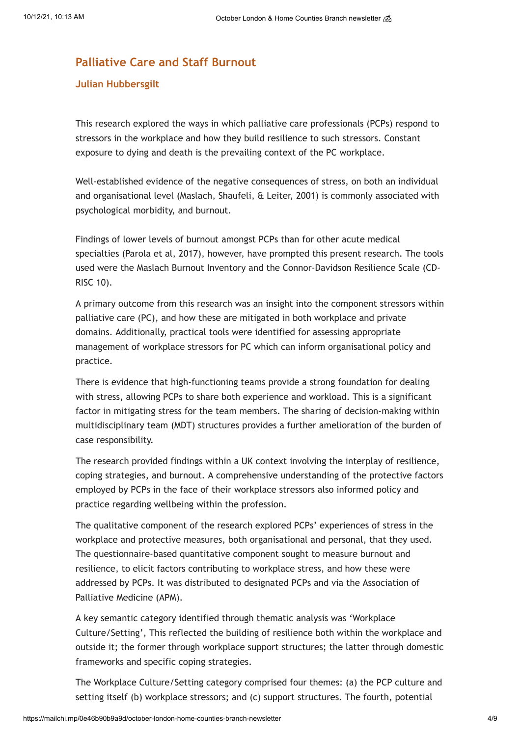## **Palliative Care and Staff Burnout**

## **Julian Hubbersgilt**

This research explored the ways in which palliative care professionals (PCPs) respond to stressors in the workplace and how they build resilience to such stressors. Constant exposure to dying and death is the prevailing context of the PC workplace.

Well-established evidence of the negative consequences of stress, on both an individual and organisational level (Maslach, Shaufeli, & Leiter, 2001) is commonly associated with psychological morbidity, and burnout.

Findings of lower levels of burnout amongst PCPs than for other acute medical specialties (Parola et al, 2017), however, have prompted this present research. The tools used were the Maslach Burnout Inventory and the Connor-Davidson Resilience Scale (CD-RISC 10).

A primary outcome from this research was an insight into the component stressors within palliative care (PC), and how these are mitigated in both workplace and private domains. Additionally, practical tools were identified for assessing appropriate management of workplace stressors for PC which can inform organisational policy and practice.

There is evidence that high-functioning teams provide a strong foundation for dealing with stress, allowing PCPs to share both experience and workload. This is a significant factor in mitigating stress for the team members. The sharing of decision-making within multidisciplinary team (MDT) structures provides a further amelioration of the burden of case responsibility.

The research provided findings within a UK context involving the interplay of resilience, coping strategies, and burnout. A comprehensive understanding of the protective factors employed by PCPs in the face of their workplace stressors also informed policy and practice regarding wellbeing within the profession.

The qualitative component of the research explored PCPs' experiences of stress in the workplace and protective measures, both organisational and personal, that they used. The questionnaire-based quantitative component sought to measure burnout and resilience, to elicit factors contributing to workplace stress, and how these were addressed by PCPs. It was distributed to designated PCPs and via the Association of Palliative Medicine (APM).

A key semantic category identified through thematic analysis was 'Workplace Culture/Setting', This reflected the building of resilience both within the workplace and outside it; the former through workplace support structures; the latter through domestic frameworks and specific coping strategies.

The Workplace Culture/Setting category comprised four themes: (a) the PCP culture and setting itself (b) workplace stressors; and (c) support structures. The fourth, potential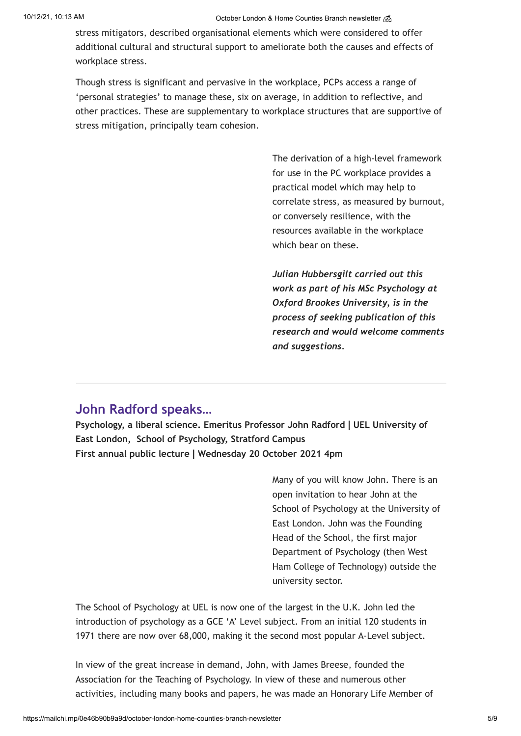#### 10/12/21, 10:13 AM Correspondent Counties Branch newsletter  $\mathcal{B}$

stress mitigators, described organisational elements which were considered to offer additional cultural and structural support to ameliorate both the causes and effects of workplace stress.

Though stress is significant and pervasive in the workplace, PCPs access a range of 'personal strategies' to manage these, six on average, in addition to reflective, and other practices. These are supplementary to workplace structures that are supportive of stress mitigation, principally team cohesion.

> The derivation of a high-level framework for use in the PC workplace provides a practical model which may help to correlate stress, as measured by burnout, or conversely resilience, with the resources available in the workplace which bear on these.

> *Julian Hubbersgilt carried out this work as part of his MSc Psychology at Oxford Brookes University, is in the process of seeking publication of this research and would welcome comments and suggestions.*

# **John Radford speaks…**

**Psychology, a liberal science. Emeritus Professor John Radford | UEL University of East London, School of Psychology, Stratford Campus First annual public lecture | Wednesday 20 October 2021 4pm**

> Many of you will know John. There is an open invitation to hear John at the School of Psychology at the University of East London. John was the Founding Head of the School, the first major Department of Psychology (then West Ham College of Technology) outside the university sector.

The School of Psychology at UEL is now one of the largest in the U.K. John led the introduction of psychology as a GCE 'A' Level subject. From an initial 120 students in 1971 there are now over 68,000, making it the second most popular A-Level subject.

In view of the great increase in demand, John, with James Breese, founded the Association for the Teaching of Psychology. In view of these and numerous other activities, including many books and papers, he was made an Honorary Life Member of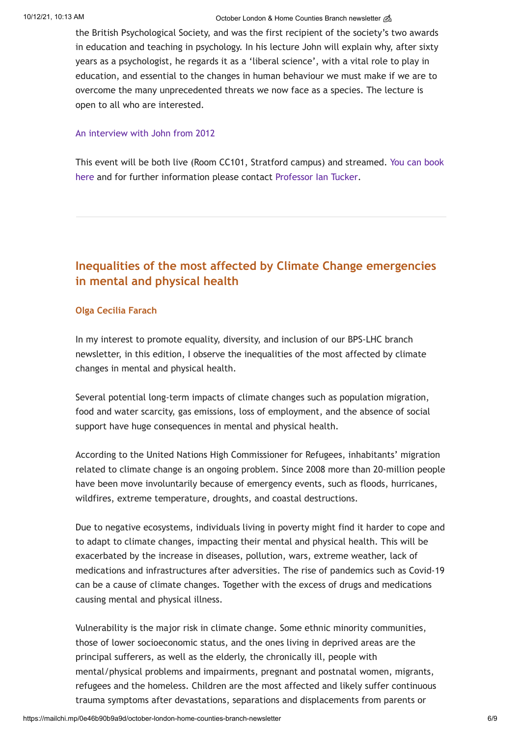#### 10/12/21, 10:13 AM Correction of Correction Counties Branch newsletter and October London & Home Counties Branch newsletter and

the British Psychological Society, and was the first recipient of the society's two awards in education and teaching in psychology. In his lecture John will explain why, after sixty years as a psychologist, he regards it as a 'liberal science', with a vital role to play in education, and essential to the changes in human behaviour we must make if we are to overcome the many unprecedented threats we now face as a species. The lecture is open to all who are interested.

#### [An interview with John from 2012](https://thepsychologist.bps.org.uk/volume-25/edition-12/interview-adapt-or-perish-%E2%80%93-understand-ourselves)

[This event will be both live \(Room CC101, Stratford campus\) and streamed. You can book](https://www.eventbrite.co.uk/e/a-liberal-science-the-first-john-radford-public-lecture-tickets-181012141187) here and for further information please contact [Professor Ian Tucker](mailto:i.tucker@uel.ac.uk).

## **Inequalities of the most affected by Climate Change emergencies in mental and physical health**

### **Olga Cecilia Farach**

In my interest to promote equality, diversity, and inclusion of our BPS-LHC branch newsletter, in this edition, I observe the inequalities of the most affected by climate changes in mental and physical health.

Several potential long-term impacts of climate changes such as population migration, food and water scarcity, gas emissions, loss of employment, and the absence of social support have huge consequences in mental and physical health.

According to the United Nations High Commissioner for Refugees, inhabitants' migration related to climate change is an ongoing problem. Since 2008 more than 20-million people have been move involuntarily because of emergency events, such as floods, hurricanes, wildfires, extreme temperature, droughts, and coastal destructions.

Due to negative ecosystems, individuals living in poverty might find it harder to cope and to adapt to climate changes, impacting their mental and physical health. This will be exacerbated by the increase in diseases, pollution, wars, extreme weather, lack of medications and infrastructures after adversities. The rise of pandemics such as Covid-19 can be a cause of climate changes. Together with the excess of drugs and medications causing mental and physical illness.

Vulnerability is the major risk in climate change. Some ethnic minority communities, those of lower socioeconomic status, and the ones living in deprived areas are the principal sufferers, as well as the elderly, the chronically ill, people with mental/physical problems and impairments, pregnant and postnatal women, migrants, refugees and the homeless. Children are the most affected and likely suffer continuous trauma symptoms after devastations, separations and displacements from parents or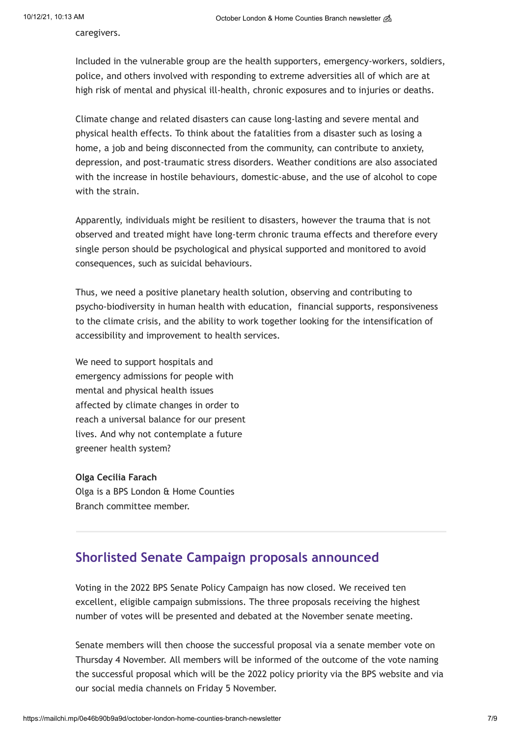caregivers.

Included in the vulnerable group are the health supporters, emergency-workers, soldiers, police, and others involved with responding to extreme adversities all of which are at high risk of mental and physical ill-health, chronic exposures and to injuries or deaths.

Climate change and related disasters can cause long-lasting and severe mental and physical health effects. To think about the fatalities from a disaster such as losing a home, a job and being disconnected from the community, can contribute to anxiety, depression, and post-traumatic stress disorders. Weather conditions are also associated with the increase in hostile behaviours, domestic-abuse, and the use of alcohol to cope with the strain.

Apparently, individuals might be resilient to disasters, however the trauma that is not observed and treated might have long-term chronic trauma effects and therefore every single person should be psychological and physical supported and monitored to avoid consequences, such as suicidal behaviours.

Thus, we need a positive planetary health solution, observing and contributing to psycho-biodiversity in human health with education, financial supports, responsiveness to the climate crisis, and the ability to work together looking for the intensification of accessibility and improvement to health services.

We need to support hospitals and emergency admissions for people with mental and physical health issues affected by climate changes in order to reach a universal balance for our present lives. And why not contemplate a future greener health system?

#### **Olga Cecilia Farach**

Olga is a BPS London & Home Counties Branch committee member.

## **Shorlisted Senate Campaign proposals announced**

Voting in the 2022 BPS Senate Policy Campaign has now closed. We received ten excellent, eligible campaign submissions. The three proposals receiving the highest number of votes will be presented and debated at the November senate meeting.

Senate members will then choose the successful proposal via a senate member vote on Thursday 4 November. All members will be informed of the outcome of the vote naming the successful proposal which will be the 2022 policy priority via the BPS website and via our social media channels on Friday 5 November.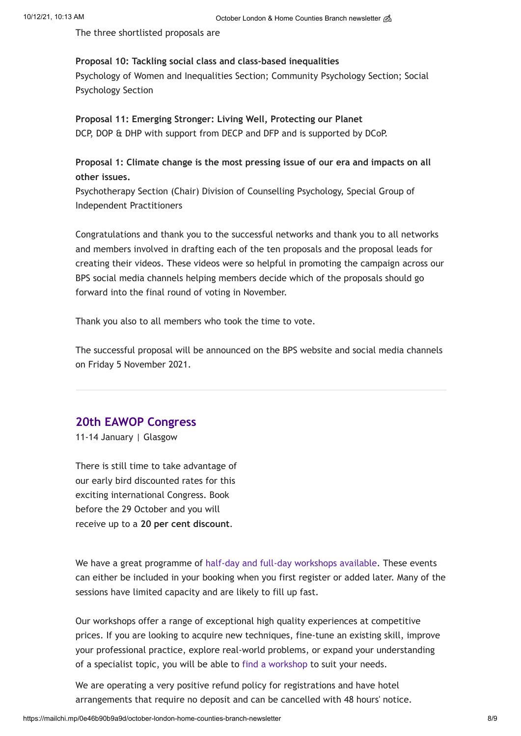The three shortlisted proposals are

## **Proposal 10: Tackling social class and class-based inequalities**

Psychology of Women and Inequalities Section; Community Psychology Section; Social Psychology Section

**Proposal 11: Emerging Stronger: Living Well, Protecting our Planet** DCP, DOP & DHP with support from DECP and DFP and is supported by DCoP.

**Proposal 1: Climate change is the most pressing issue of our era and impacts on all other issues.**

Psychotherapy Section (Chair) Division of Counselling Psychology, Special Group of Independent Practitioners

Congratulations and thank you to the successful networks and thank you to all networks and members involved in drafting each of the ten proposals and the proposal leads for creating their videos. These videos were so helpful in promoting the campaign across our BPS social media channels helping members decide which of the proposals should go forward into the final round of voting in November.

Thank you also to all members who took the time to vote.

The successful proposal will be announced on the BPS website and social media channels on Friday 5 November 2021.

## **20th EAWOP Congress**

11-14 January | Glasgow

There is still time to take advantage of our early bird discounted rates for this exciting international Congress. Book before the 29 October and you will receive up to a **20 per cent discount**.

We have a great programme of [half-day and full-day workshops available.](https://www.eawop2022.org/workshops/) These events can either be included in your booking when you first register or added later. Many of the sessions have limited capacity and are likely to fill up fast.

Our workshops offer a range of exceptional high quality experiences at competitive prices. If you are looking to acquire new techniques, fine-tune an existing skill, improve your professional practice, explore real-world problems, or expand your understanding of a specialist topic, you will be able to [find a workshop](https://www.eawop2022.org/workshops/) to suit your needs.

We are operating a very positive refund policy for registrations and have hotel arrangements that require no deposit and can be cancelled with 48 hours' notice.